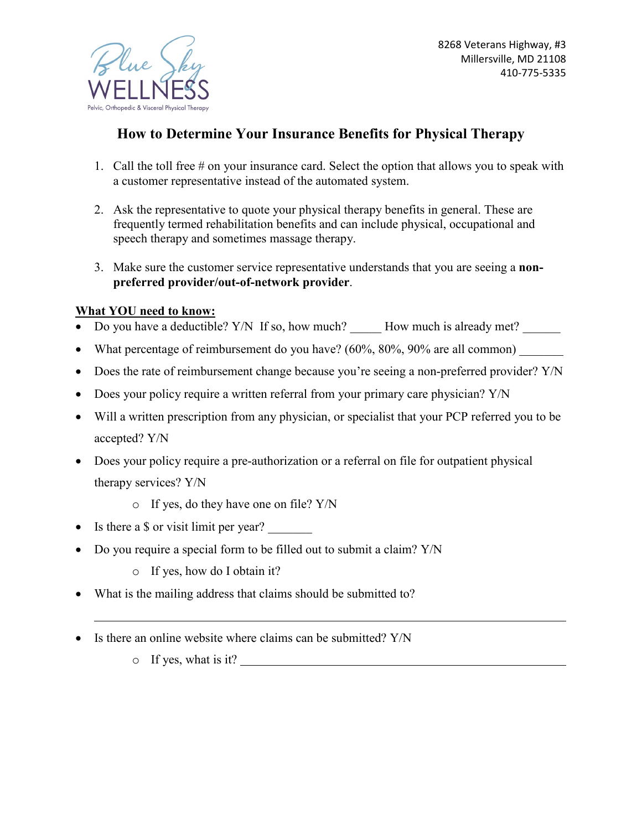

## **How to Determine Your Insurance Benefits for Physical Therapy**

- 1. Call the toll free # on your insurance card. Select the option that allows you to speak with a customer representative instead of the automated system.
- 2. Ask the representative to quote your physical therapy benefits in general. These are frequently termed rehabilitation benefits and can include physical, occupational and speech therapy and sometimes massage therapy.
- 3. Make sure the customer service representative understands that you are seeing a **nonpreferred provider/out-of-network provider**.

## **What YOU need to know:**

- Do you have a deductible? Y/N If so, how much? How much is already met?
- What percentage of reimbursement do you have?  $(60\%, 80\%, 90\%$  are all common)
- Does the rate of reimbursement change because you're seeing a non-preferred provider? Y/N
- Does your policy require a written referral from your primary care physician? Y/N
- Will a written prescription from any physician, or specialist that your PCP referred you to be accepted? Y/N
- Does your policy require a pre-authorization or a referral on file for outpatient physical therapy services? Y/N
	- o If yes, do they have one on file? Y/N
- Is there a \$ or visit limit per year?
- Do you require a special form to be filled out to submit a claim? Y/N
	- o If yes, how do I obtain it?
- What is the mailing address that claims should be submitted to?
- Is there an online website where claims can be submitted? Y/N
	- o If yes, what is it?